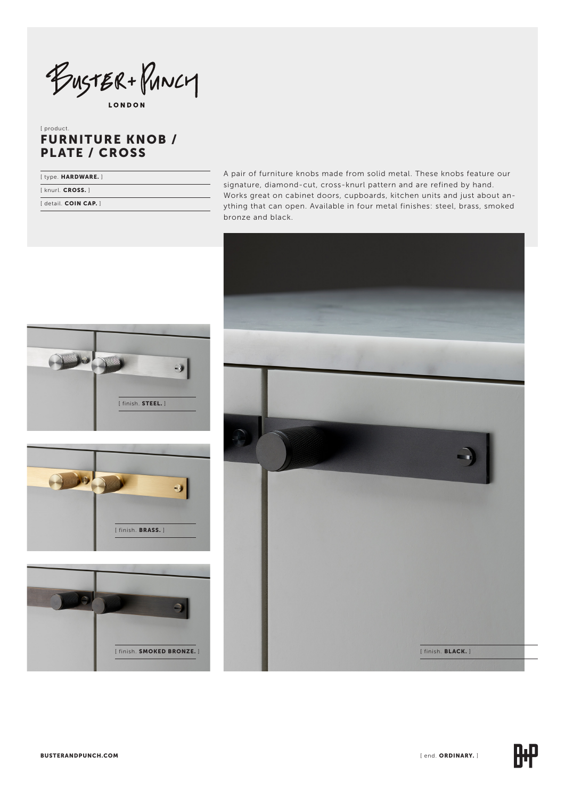BUSTER + PUNCY

**LONDON** 

# [ product. FURNITURE KNOB / PLATE / CROSS

| [type. HARDWARE.]   |  |
|---------------------|--|
| [knurl. CROSS.]     |  |
| [detail. COIN CAP.] |  |

A pair of furniture knobs made from solid metal. These knobs feature our signature, diamond-cut, cross-knurl pattern and are refined by hand. Works great on cabinet doors, cupboards, kitchen units and just about anything that can open. Available in four metal finishes: steel, brass, smoked bronze and black.